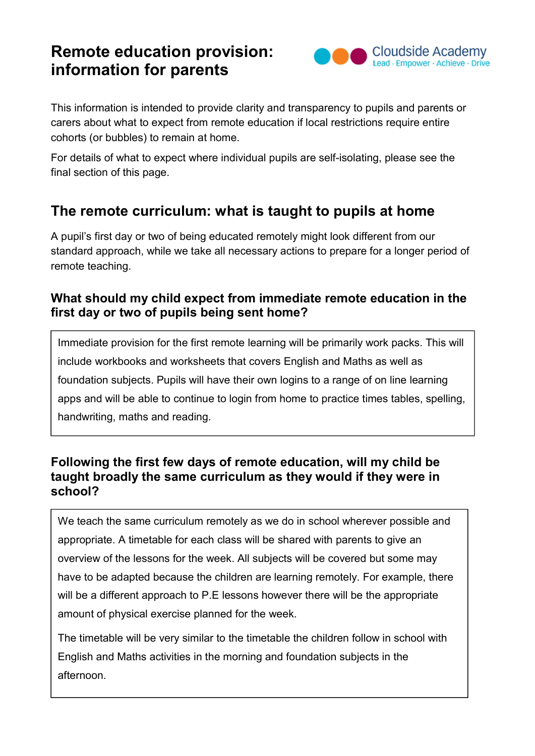# Remote education provision: information for parents



This information is intended to provide clarity and transparency to pupils and parents or carers about what to expect from remote education if local restrictions require entire cohorts (or bubbles) to remain at home.

For details of what to expect where individual pupils are self-isolating, please see the final section of this page.

## The remote curriculum: what is taught to pupils at home

A pupil's first day or two of being educated remotely might look different from our standard approach, while we take all necessary actions to prepare for a longer period of remote teaching.

### What should my child expect from immediate remote education in the first day or two of pupils being sent home?

Immediate provision for the first remote learning will be primarily work packs. This will include workbooks and worksheets that covers English and Maths as well as foundation subjects. Pupils will have their own logins to a range of on line learning apps and will be able to continue to login from home to practice times tables, spelling, handwriting, maths and reading.

### Following the first few days of remote education, will my child be taught broadly the same curriculum as they would if they were in school?

We teach the same curriculum remotely as we do in school wherever possible and appropriate. A timetable for each class will be shared with parents to give an overview of the lessons for the week. All subjects will be covered but some may have to be adapted because the children are learning remotely. For example, there will be a different approach to P.E lessons however there will be the appropriate amount of physical exercise planned for the week.

The timetable will be very similar to the timetable the children follow in school with English and Maths activities in the morning and foundation subjects in the afternoon.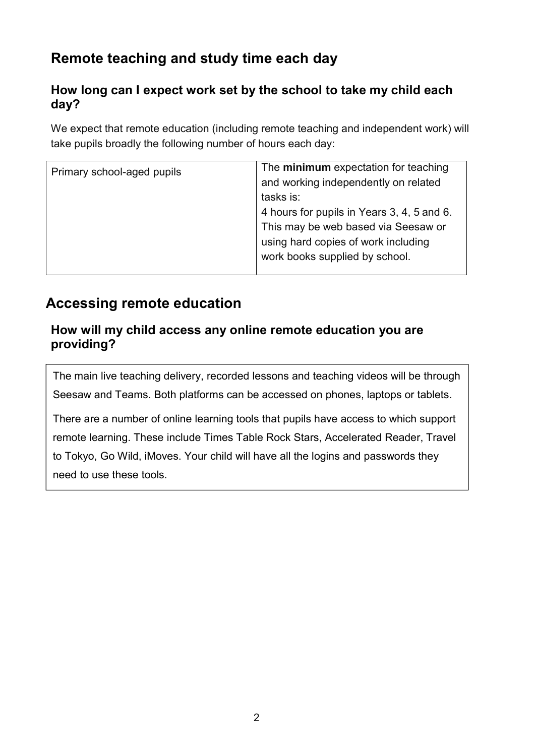# Remote teaching and study time each day

## How long can I expect work set by the school to take my child each day?

We expect that remote education (including remote teaching and independent work) will take pupils broadly the following number of hours each day:

| Primary school-aged pupils | The minimum expectation for teaching       |
|----------------------------|--------------------------------------------|
|                            | and working independently on related       |
|                            | tasks is:                                  |
|                            | 4 hours for pupils in Years 3, 4, 5 and 6. |
|                            | This may be web based via Seesaw or        |
|                            | using hard copies of work including        |
|                            | work books supplied by school.             |
|                            |                                            |

## Accessing remote education

#### How will my child access any online remote education you are providing?

The main live teaching delivery, recorded lessons and teaching videos will be through Seesaw and Teams. Both platforms can be accessed on phones, laptops or tablets.

There are a number of online learning tools that pupils have access to which support remote learning. These include Times Table Rock Stars, Accelerated Reader, Travel to Tokyo, Go Wild, iMoves. Your child will have all the logins and passwords they need to use these tools.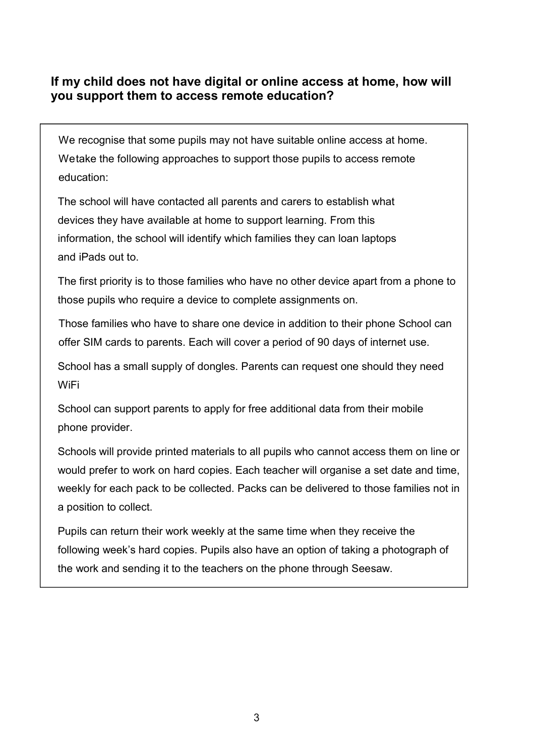#### If my child does not have digital or online access at home, how will you support them to access remote education?

We recognise that some pupils may not have suitable online access at home. We take the following approaches to support those pupils to access remote education:

The school will have contacted all parents and carers to establish what devices they have available at home to support learning. From this information, the school will identify which families they can loan laptops and iPads out to.

The first priority is to those families who have no other device apart from a phone to those pupils who require a device to complete assignments on.

Those families who have to share one device in addition to their phone School can offer SIM cards to parents. Each will cover a period of 90 days of internet use.

School has a small supply of dongles. Parents can request one should they need WiFi

School can support parents to apply for free additional data from their mobile phone provider.

Schools will provide printed materials to all pupils who cannot access them on line or would prefer to work on hard copies. Each teacher will organise a set date and time, weekly for each pack to be collected. Packs can be delivered to those families not in a position to collect.

Pupils can return their work weekly at the same time when they receive the following week's hard copies. Pupils also have an option of taking a photograph of the work and sending it to the teachers on the phone through Seesaw.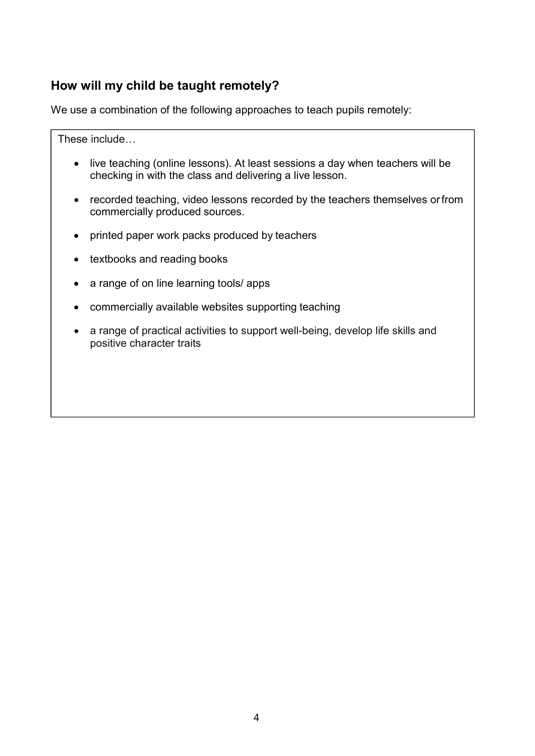## How will my child be taught remotely?

We use a combination of the following approaches to teach pupils remotely:

These include…

- live teaching (online lessons). At least sessions a day when teachers will be checking in with the class and delivering a live lesson.
- recorded teaching, video lessons recorded by the teachers themselves or from commercially produced sources.
- printed paper work packs produced by teachers
- textbooks and reading books
- a range of on line learning tools/ apps
- commercially available websites supporting teaching
- a range of practical activities to support well-being, develop life skills and positive character traits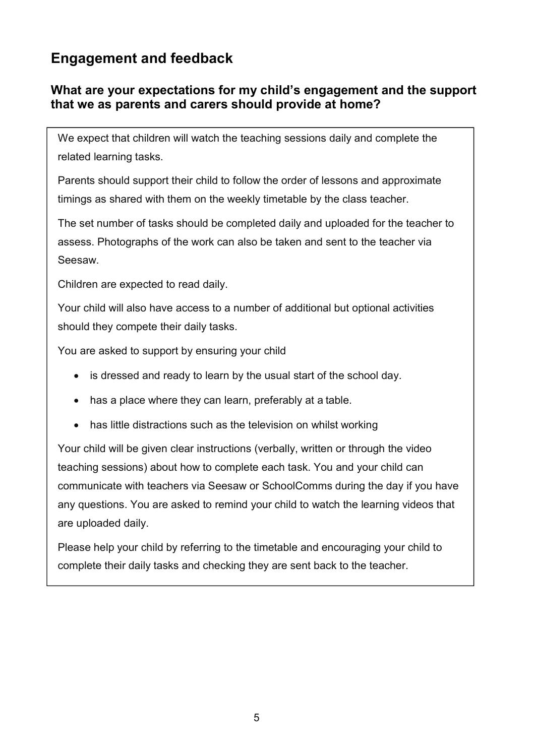## Engagement and feedback

### What are your expectations for my child's engagement and the support that we as parents and carers should provide at home?

We expect that children will watch the teaching sessions daily and complete the related learning tasks.

Parents should support their child to follow the order of lessons and approximate timings as shared with them on the weekly timetable by the class teacher.

The set number of tasks should be completed daily and uploaded for the teacher to assess. Photographs of the work can also be taken and sent to the teacher via Seesaw.

Children are expected to read daily.

Your child will also have access to a number of additional but optional activities should they compete their daily tasks.

You are asked to support by ensuring your child

- is dressed and ready to learn by the usual start of the school day.
- has a place where they can learn, preferably at a table.
- has little distractions such as the television on whilst working

Your child will be given clear instructions (verbally, written or through the video teaching sessions) about how to complete each task. You and your child can communicate with teachers via Seesaw or SchoolComms during the day if you have any questions. You are asked to remind your child to watch the learning videos that are uploaded daily.

Please help your child by referring to the timetable and encouraging your child to complete their daily tasks and checking they are sent back to the teacher.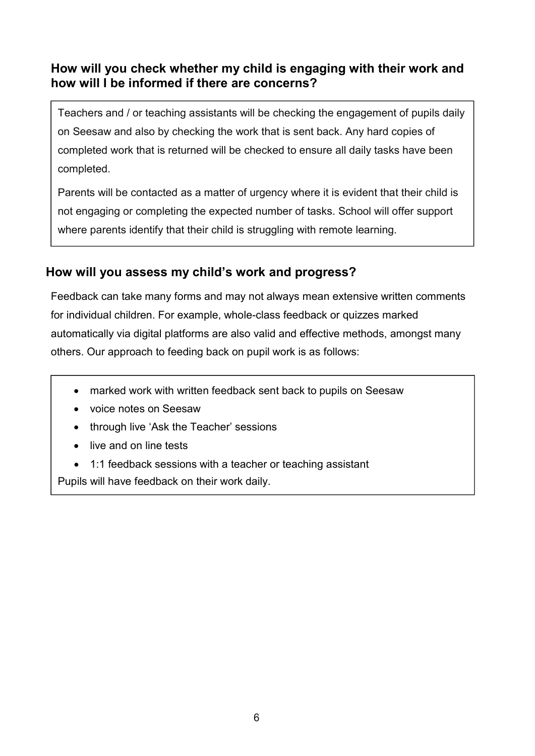### How will you check whether my child is engaging with their work and how will I be informed if there are concerns?

Teachers and / or teaching assistants will be checking the engagement of pupils daily on Seesaw and also by checking the work that is sent back. Any hard copies of completed work that is returned will be checked to ensure all daily tasks have been completed.

Parents will be contacted as a matter of urgency where it is evident that their child is not engaging or completing the expected number of tasks. School will offer support where parents identify that their child is struggling with remote learning.

## How will you assess my child's work and progress?

Feedback can take many forms and may not always mean extensive written comments for individual children. For example, whole-class feedback or quizzes marked automatically via digital platforms are also valid and effective methods, amongst many others. Our approach to feeding back on pupil work is as follows:

- marked work with written feedback sent back to pupils on Seesaw
- voice notes on Seesaw
- through live 'Ask the Teacher' sessions
- live and on line tests
- 1:1 feedback sessions with a teacher or teaching assistant

Pupils will have feedback on their work daily.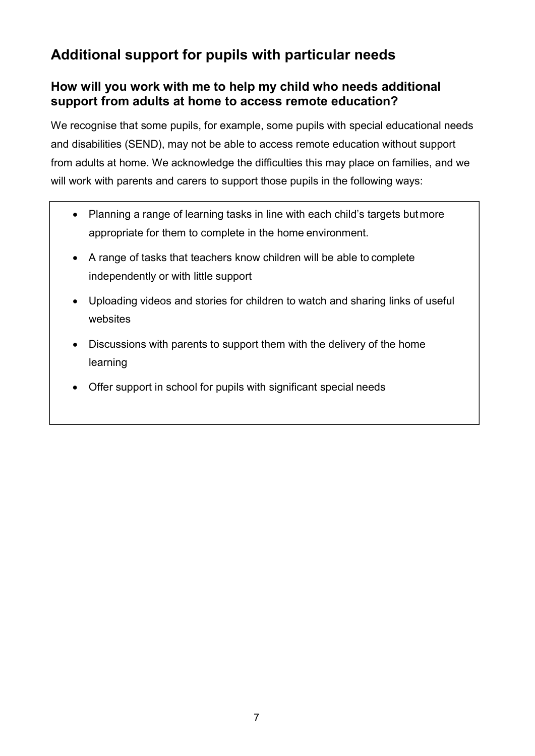## Additional support for pupils with particular needs

### How will you work with me to help my child who needs additional support from adults at home to access remote education?

We recognise that some pupils, for example, some pupils with special educational needs and disabilities (SEND), may not be able to access remote education without support from adults at home. We acknowledge the difficulties this may place on families, and we will work with parents and carers to support those pupils in the following ways:

- Planning a range of learning tasks in line with each child's targets but more appropriate for them to complete in the home environment.
- A range of tasks that teachers know children will be able to complete independently or with little support
- Uploading videos and stories for children to watch and sharing links of useful websites
- Discussions with parents to support them with the delivery of the home learning
- Offer support in school for pupils with significant special needs